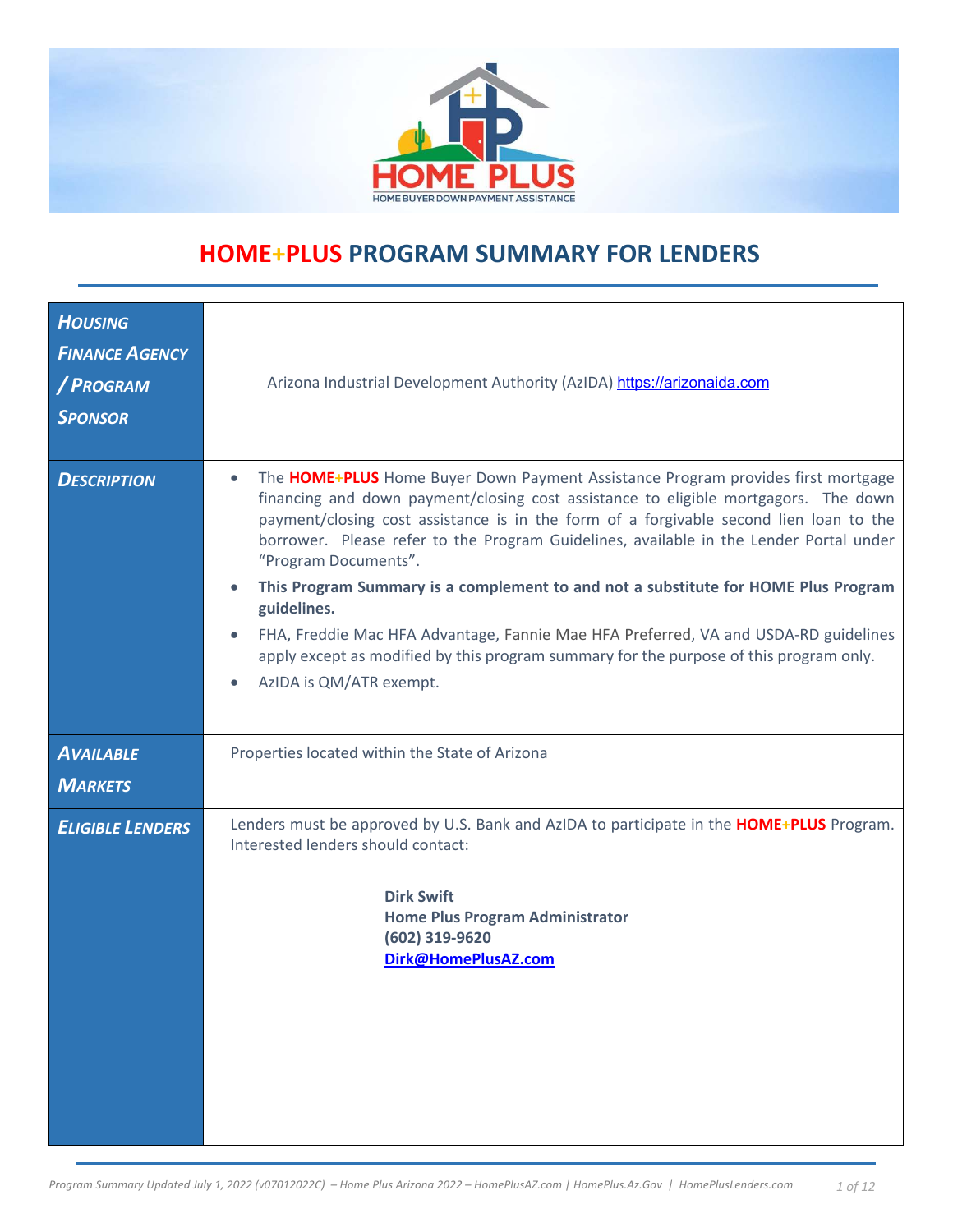

# **HOME+PLUS PROGRAM SUMMARY FOR LENDERS**

| <b>HOUSING</b><br><b>FINANCE AGENCY</b><br>/ PROGRAM<br><b>SPONSOR</b> | Arizona Industrial Development Authority (AzIDA) https://arizonaida.com                                                                                                                                                                                                                                                                                                                                                                                                                                                                                                                                                                                                                              |
|------------------------------------------------------------------------|------------------------------------------------------------------------------------------------------------------------------------------------------------------------------------------------------------------------------------------------------------------------------------------------------------------------------------------------------------------------------------------------------------------------------------------------------------------------------------------------------------------------------------------------------------------------------------------------------------------------------------------------------------------------------------------------------|
| <b>DESCRIPTION</b>                                                     | The HOME+PLUS Home Buyer Down Payment Assistance Program provides first mortgage<br>financing and down payment/closing cost assistance to eligible mortgagors. The down<br>payment/closing cost assistance is in the form of a forgivable second lien loan to the<br>borrower. Please refer to the Program Guidelines, available in the Lender Portal under<br>"Program Documents".<br>This Program Summary is a complement to and not a substitute for HOME Plus Program<br>guidelines.<br>FHA, Freddie Mac HFA Advantage, Fannie Mae HFA Preferred, VA and USDA-RD guidelines<br>apply except as modified by this program summary for the purpose of this program only.<br>AzIDA is QM/ATR exempt. |
| <b>AVAILABLE</b><br><b>MARKETS</b>                                     | Properties located within the State of Arizona                                                                                                                                                                                                                                                                                                                                                                                                                                                                                                                                                                                                                                                       |
| <b>ELIGIBLE LENDERS</b>                                                | Lenders must be approved by U.S. Bank and AzIDA to participate in the <b>HOME+PLUS</b> Program.<br>Interested lenders should contact:<br><b>Dirk Swift</b><br><b>Home Plus Program Administrator</b><br>(602) 319-9620<br>Dirk@HomePlusAZ.com                                                                                                                                                                                                                                                                                                                                                                                                                                                        |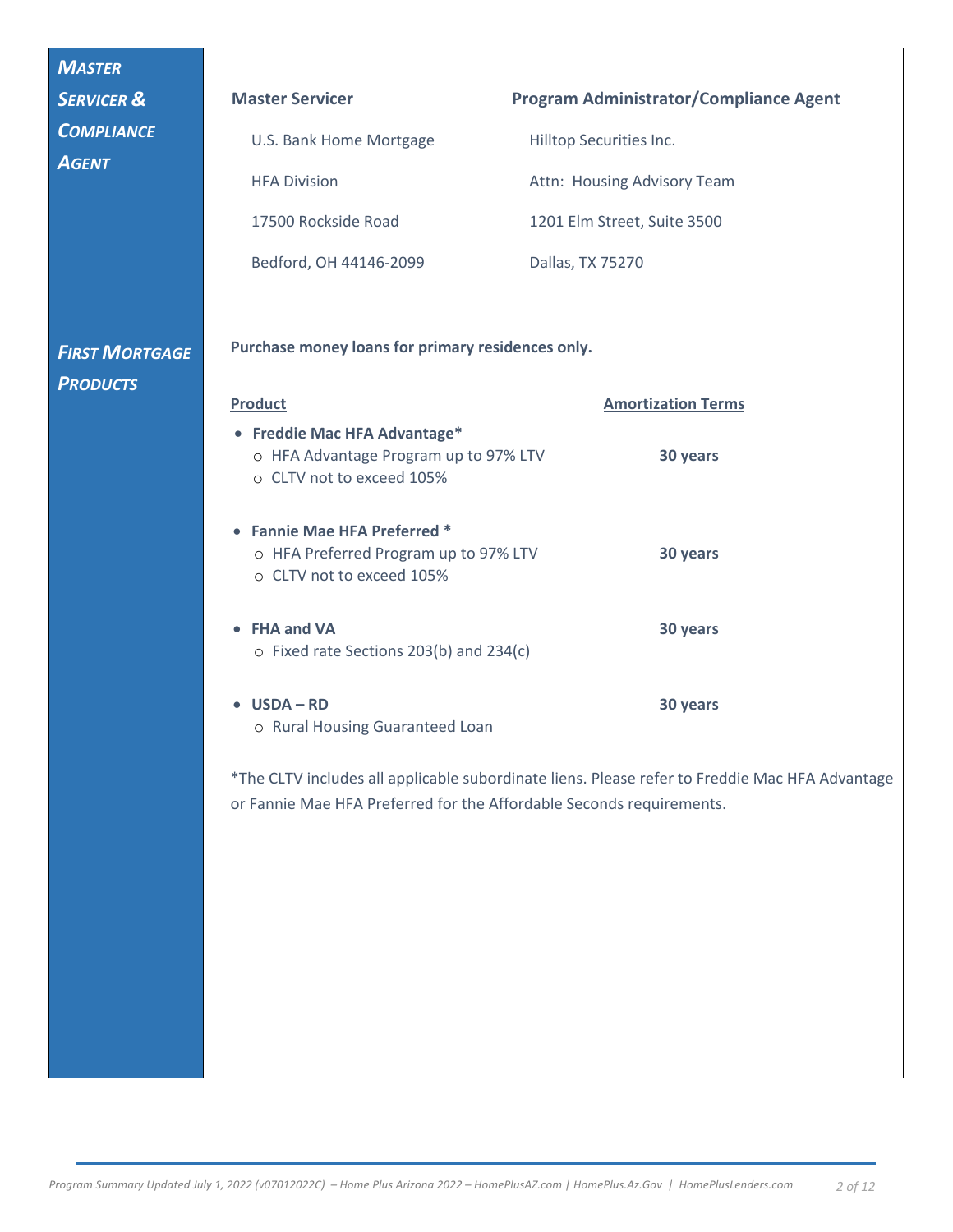| <b>MASTER</b>                            |                                                                                                    |                                                                                                |
|------------------------------------------|----------------------------------------------------------------------------------------------------|------------------------------------------------------------------------------------------------|
| <b>SERVICER &amp;</b>                    | <b>Master Servicer</b>                                                                             | <b>Program Administrator/Compliance Agent</b>                                                  |
| <b>COMPLIANCE</b>                        | U.S. Bank Home Mortgage                                                                            | Hilltop Securities Inc.                                                                        |
| <b>AGENT</b>                             | <b>HFA Division</b>                                                                                | Attn: Housing Advisory Team                                                                    |
|                                          | 17500 Rockside Road                                                                                | 1201 Elm Street, Suite 3500                                                                    |
|                                          | Bedford, OH 44146-2099                                                                             | Dallas, TX 75270                                                                               |
|                                          |                                                                                                    |                                                                                                |
|                                          | Purchase money loans for primary residences only.                                                  |                                                                                                |
| <b>FIRST MORTGAGE</b><br><b>PRODUCTS</b> |                                                                                                    |                                                                                                |
|                                          | <b>Product</b>                                                                                     | <b>Amortization Terms</b>                                                                      |
|                                          | • Freddie Mac HFA Advantage*<br>o HFA Advantage Program up to 97% LTV<br>o CLTV not to exceed 105% | 30 years                                                                                       |
|                                          | • Fannie Mae HFA Preferred *<br>o HFA Preferred Program up to 97% LTV<br>o CLTV not to exceed 105% | 30 years                                                                                       |
|                                          | • FHA and VA<br>o Fixed rate Sections 203(b) and 234(c)                                            | 30 years                                                                                       |
|                                          | $\bullet$ USDA - RD<br>o Rural Housing Guaranteed Loan                                             | 30 years                                                                                       |
|                                          | or Fannie Mae HFA Preferred for the Affordable Seconds requirements.                               | *The CLTV includes all applicable subordinate liens. Please refer to Freddie Mac HFA Advantage |
|                                          |                                                                                                    |                                                                                                |
|                                          |                                                                                                    |                                                                                                |
|                                          |                                                                                                    |                                                                                                |
|                                          |                                                                                                    |                                                                                                |
|                                          |                                                                                                    |                                                                                                |
|                                          |                                                                                                    |                                                                                                |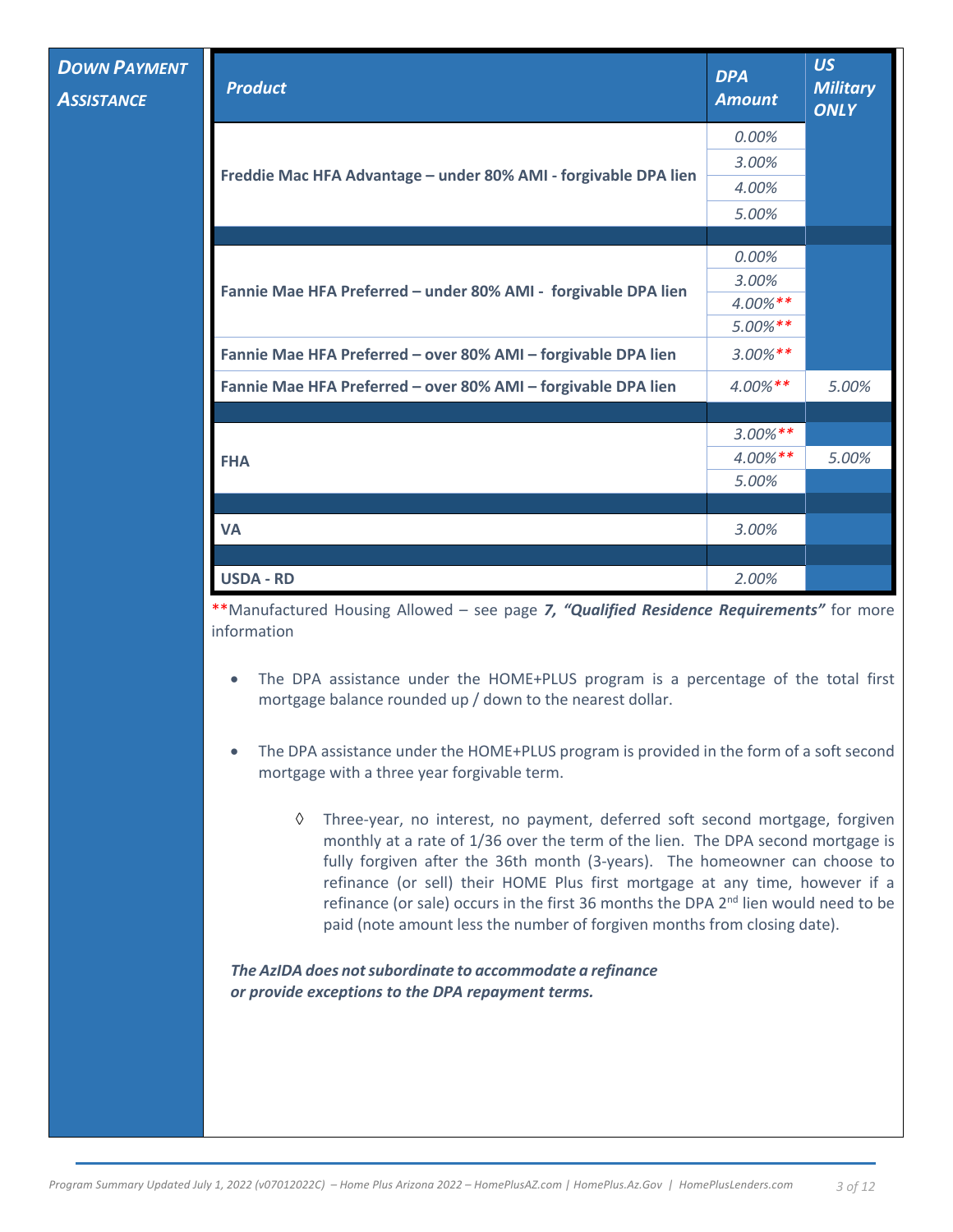| <b>Product</b>                                                  | <b>DPA</b><br><b>Amount</b> | <b>US</b><br><b>Military</b><br><b>ONLY</b> |
|-----------------------------------------------------------------|-----------------------------|---------------------------------------------|
|                                                                 | 0.00%                       |                                             |
|                                                                 | 3.00%                       |                                             |
| Freddie Mac HFA Advantage - under 80% AMI - forgivable DPA lien | 4.00%                       |                                             |
|                                                                 | 5.00%                       |                                             |
|                                                                 |                             |                                             |
|                                                                 | 0.00%                       |                                             |
| Fannie Mae HFA Preferred - under 80% AMI - forgivable DPA lien  | 3.00%                       |                                             |
|                                                                 | $4.00\%**$                  |                                             |
|                                                                 | $5.00\%$ **                 |                                             |
| Fannie Mae HFA Preferred - over 80% AMI - forgivable DPA lien   | $3.00\%**$                  |                                             |
| Fannie Mae HFA Preferred - over 80% AMI - forgivable DPA lien   | $4.00\%**$                  | 5.00%                                       |
|                                                                 |                             |                                             |
|                                                                 | $3.00\%$ **                 |                                             |
| <b>FHA</b>                                                      | $4.00\%**$                  | 5.00%                                       |
|                                                                 | 5.00%                       |                                             |
|                                                                 |                             |                                             |
| <b>VA</b>                                                       | 3.00%                       |                                             |
|                                                                 |                             |                                             |
| <b>USDA - RD</b>                                                | 2.00%                       |                                             |

\*\*Manufactured Housing Allowed – see page *7, "Qualified Residence Requirements"* for more information

- The DPA assistance under the HOME+PLUS program is a percentage of the total first mortgage balance rounded up / down to the nearest dollar.
- The DPA assistance under the HOME+PLUS program is provided in the form of a soft second mortgage with a three year forgivable term.
	- à Three-year, no interest, no payment, deferred soft second mortgage, forgiven monthly at a rate of 1/36 over the term of the lien. The DPA second mortgage is fully forgiven after the 36th month (3-years). The homeowner can choose to refinance (or sell) their HOME Plus first mortgage at any time, however if a refinance (or sale) occurs in the first 36 months the DPA 2<sup>nd</sup> lien would need to be paid (note amount less the number of forgiven months from closing date).

*The AzIDA does not subordinate to accommodate a refinance or provide exceptions to the DPA repayment terms.*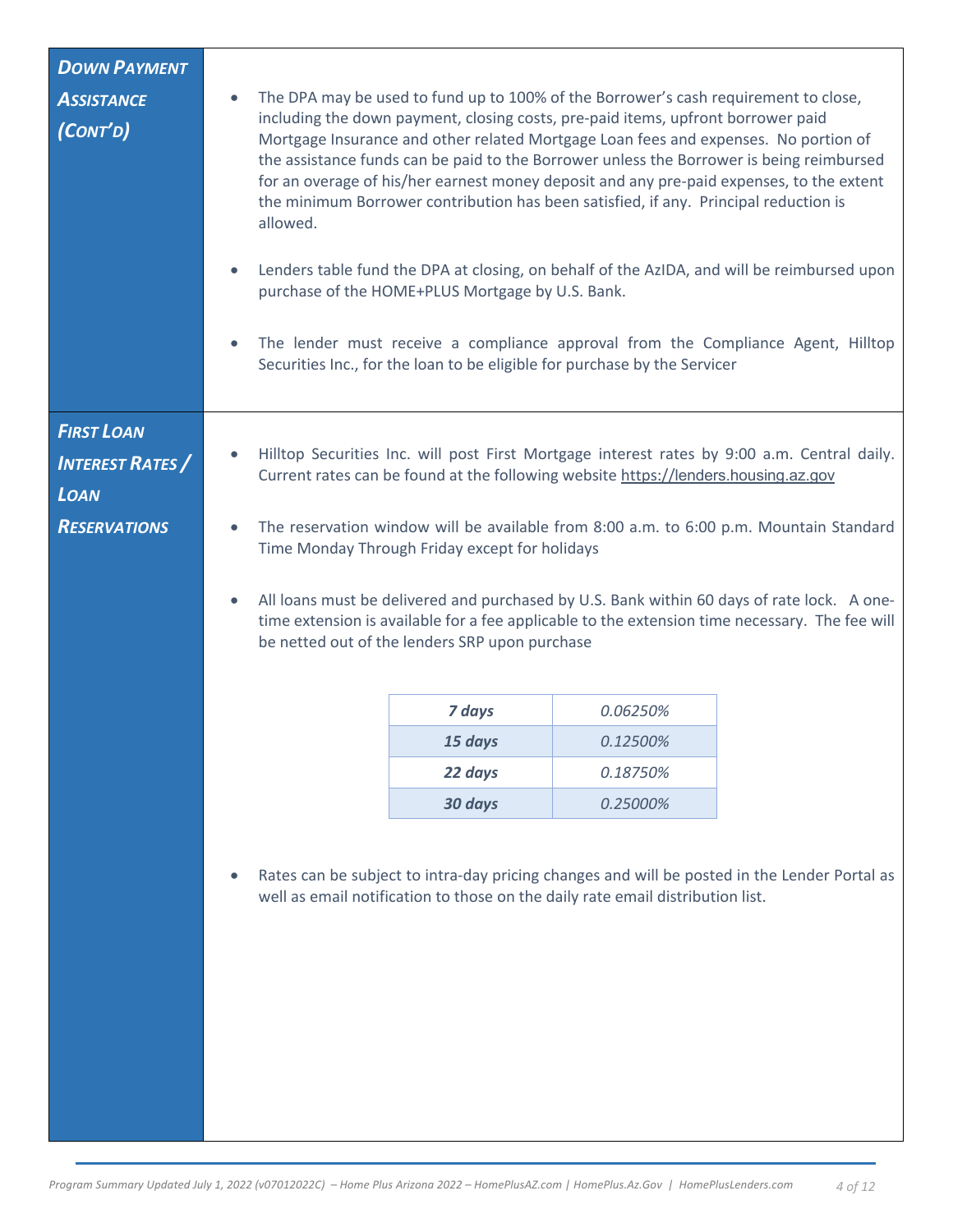| <b>DOWN PAYMENT</b>                          |                                                                                                                                                                                                                                                             |                                                                                                                                                                                                                                                                                                                                                                                                            |          |                                                                                                                                                                                                                                                                                                                                                                        |
|----------------------------------------------|-------------------------------------------------------------------------------------------------------------------------------------------------------------------------------------------------------------------------------------------------------------|------------------------------------------------------------------------------------------------------------------------------------------------------------------------------------------------------------------------------------------------------------------------------------------------------------------------------------------------------------------------------------------------------------|----------|------------------------------------------------------------------------------------------------------------------------------------------------------------------------------------------------------------------------------------------------------------------------------------------------------------------------------------------------------------------------|
| <b>ASSISTANCE</b><br>(CONT'D)                | $\bullet$<br>allowed.<br>$\bullet$<br>$\bullet$                                                                                                                                                                                                             | The DPA may be used to fund up to 100% of the Borrower's cash requirement to close,<br>including the down payment, closing costs, pre-paid items, upfront borrower paid<br>Mortgage Insurance and other related Mortgage Loan fees and expenses. No portion of<br>the minimum Borrower contribution has been satisfied, if any. Principal reduction is<br>purchase of the HOME+PLUS Mortgage by U.S. Bank. |          | the assistance funds can be paid to the Borrower unless the Borrower is being reimbursed<br>for an overage of his/her earnest money deposit and any pre-paid expenses, to the extent<br>Lenders table fund the DPA at closing, on behalf of the AzIDA, and will be reimbursed upon<br>The lender must receive a compliance approval from the Compliance Agent, Hilltop |
|                                              |                                                                                                                                                                                                                                                             | Securities Inc., for the loan to be eligible for purchase by the Servicer                                                                                                                                                                                                                                                                                                                                  |          |                                                                                                                                                                                                                                                                                                                                                                        |
| <b>FIRST LOAN</b><br><b>INTEREST RATES</b> / |                                                                                                                                                                                                                                                             | Current rates can be found at the following website https://lenders.housing.az.gov                                                                                                                                                                                                                                                                                                                         |          | Hilltop Securities Inc. will post First Mortgage interest rates by 9:00 a.m. Central daily.                                                                                                                                                                                                                                                                            |
| <b>LOAN</b>                                  |                                                                                                                                                                                                                                                             |                                                                                                                                                                                                                                                                                                                                                                                                            |          |                                                                                                                                                                                                                                                                                                                                                                        |
| <b>RESERVATIONS</b>                          | $\bullet$                                                                                                                                                                                                                                                   | Time Monday Through Friday except for holidays                                                                                                                                                                                                                                                                                                                                                             |          | The reservation window will be available from 8:00 a.m. to 6:00 p.m. Mountain Standard                                                                                                                                                                                                                                                                                 |
|                                              | All loans must be delivered and purchased by U.S. Bank within 60 days of rate lock. A one-<br>$\bullet$<br>time extension is available for a fee applicable to the extension time necessary. The fee will<br>be netted out of the lenders SRP upon purchase |                                                                                                                                                                                                                                                                                                                                                                                                            |          |                                                                                                                                                                                                                                                                                                                                                                        |
|                                              |                                                                                                                                                                                                                                                             | 7 days                                                                                                                                                                                                                                                                                                                                                                                                     | 0.06250% |                                                                                                                                                                                                                                                                                                                                                                        |
|                                              |                                                                                                                                                                                                                                                             | 15 days                                                                                                                                                                                                                                                                                                                                                                                                    | 0.12500% |                                                                                                                                                                                                                                                                                                                                                                        |
|                                              |                                                                                                                                                                                                                                                             | 22 days                                                                                                                                                                                                                                                                                                                                                                                                    | 0.18750% |                                                                                                                                                                                                                                                                                                                                                                        |
|                                              |                                                                                                                                                                                                                                                             | 30 days                                                                                                                                                                                                                                                                                                                                                                                                    | 0.25000% |                                                                                                                                                                                                                                                                                                                                                                        |
|                                              |                                                                                                                                                                                                                                                             | well as email notification to those on the daily rate email distribution list.                                                                                                                                                                                                                                                                                                                             |          | Rates can be subject to intra-day pricing changes and will be posted in the Lender Portal as                                                                                                                                                                                                                                                                           |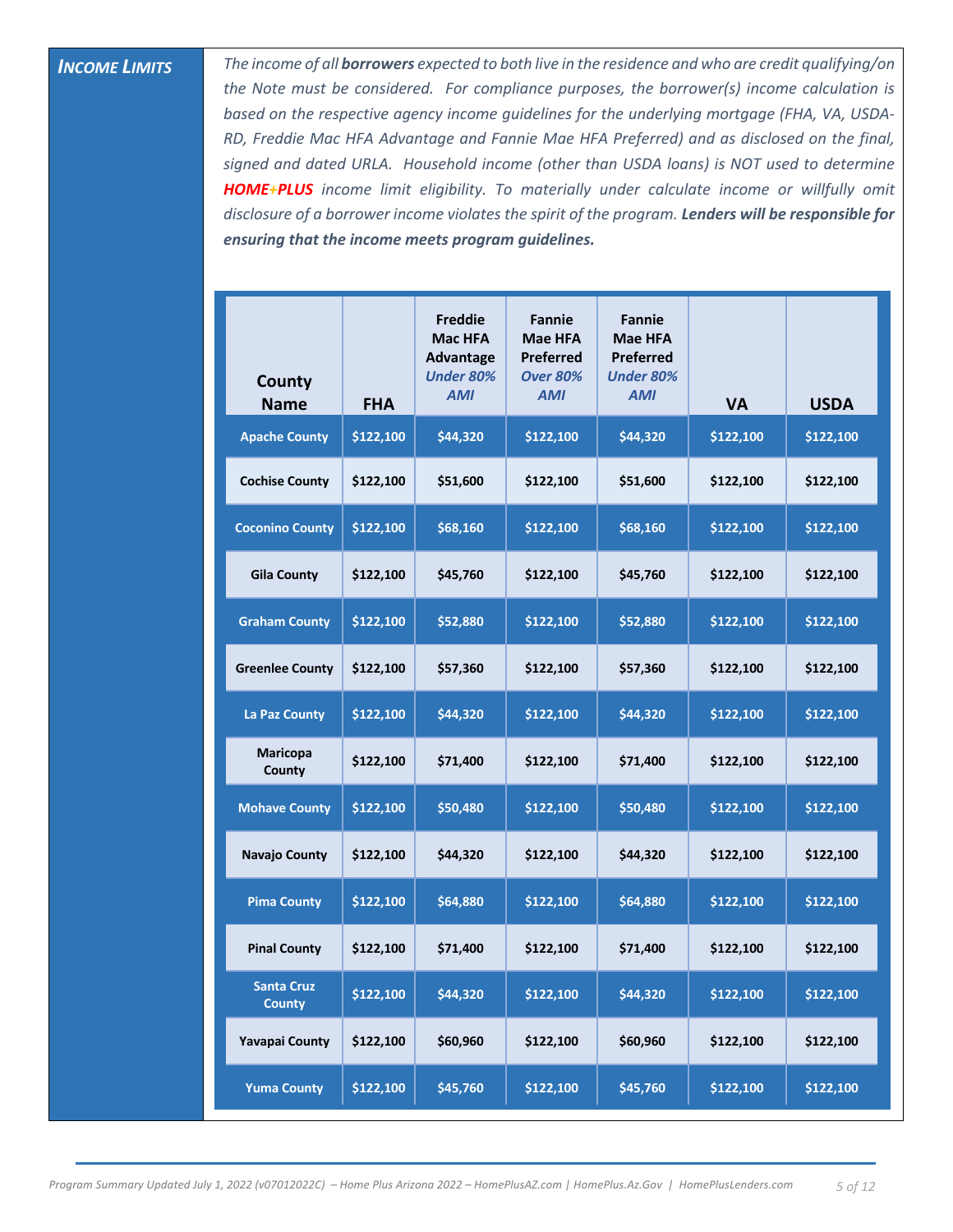**INCOME LIMITS** *I*<sup>*The income of all borrowers expected to both live in the residence and who are credit qualifying/on*</sup> *the Note must be considered. For compliance purposes, the borrower(s) income calculation is*  based on the respective agency income quidelines for the *underlying mortgage (FHA, VA, USDA-RD, Freddie Mac HFA Advantage and Fannie Mae HFA Preferred) and as disclosed on the final, signed and dated URLA. Household income (other than USDA loans) is NOT used to determine HOME+PLUS income limit eligibility. To materially under calculate income or willfully omit disclosure of a borrower income violates the spirit of the program. Lenders will be responsible for ensuring that the income meets program guidelines.*

| County<br><b>Name</b>              | <b>FHA</b> | <b>Freddie</b><br>Mac HFA<br><b>Advantage</b><br><b>Under 80%</b><br><b>AMI</b> | <b>Fannie</b><br><b>Mae HFA</b><br>Preferred<br><b>Over 80%</b><br><b>AMI</b> | <b>Fannie</b><br>Mae HFA<br>Preferred<br><b>Under 80%</b><br><b>AMI</b> | <b>VA</b> | <b>USDA</b> |
|------------------------------------|------------|---------------------------------------------------------------------------------|-------------------------------------------------------------------------------|-------------------------------------------------------------------------|-----------|-------------|
| <b>Apache County</b>               | \$122,100  | \$44,320                                                                        | \$122,100                                                                     | \$44,320                                                                | \$122,100 | \$122,100   |
| <b>Cochise County</b>              | \$122,100  | \$51,600                                                                        | \$122,100                                                                     | \$51,600                                                                | \$122,100 | \$122,100   |
| <b>Coconino County</b>             | \$122,100  | \$68,160                                                                        | \$122,100                                                                     | \$68,160                                                                | \$122,100 | \$122,100   |
| <b>Gila County</b>                 | \$122,100  | \$45,760                                                                        | \$122,100                                                                     | \$45,760                                                                | \$122,100 | \$122,100   |
| <b>Graham County</b>               | \$122,100  | \$52,880                                                                        | \$122,100                                                                     | \$52,880                                                                | \$122,100 | \$122,100   |
| <b>Greenlee County</b>             | \$122,100  | \$57,360                                                                        | \$122,100                                                                     | \$57,360                                                                | \$122,100 | \$122,100   |
| La Paz County                      | \$122,100  | \$44,320                                                                        | \$122,100                                                                     | \$44,320                                                                | \$122,100 | \$122,100   |
| <b>Maricopa</b><br>County          | \$122,100  | \$71,400                                                                        | \$122,100                                                                     | \$71,400                                                                | \$122,100 | \$122,100   |
| <b>Mohave County</b>               | \$122,100  | \$50,480                                                                        | \$122,100                                                                     | \$50,480                                                                | \$122,100 | \$122,100   |
| <b>Navajo County</b>               | \$122,100  | \$44,320                                                                        | \$122,100                                                                     | \$44,320                                                                | \$122,100 | \$122,100   |
| <b>Pima County</b>                 | \$122,100  | \$64,880                                                                        | \$122,100                                                                     | \$64,880                                                                | \$122,100 | \$122,100   |
| <b>Pinal County</b>                | \$122,100  | \$71,400                                                                        | \$122,100                                                                     | \$71,400                                                                | \$122,100 | \$122,100   |
| <b>Santa Cruz</b><br><b>County</b> | \$122,100  | \$44,320                                                                        | \$122,100                                                                     | \$44,320                                                                | \$122,100 | \$122,100   |
| Yavapai County                     | \$122,100  | \$60,960                                                                        | \$122,100                                                                     | \$60,960                                                                | \$122,100 | \$122,100   |
| <b>Yuma County</b>                 | \$122,100  | \$45,760                                                                        | \$122,100                                                                     | \$45,760                                                                | \$122,100 | \$122,100   |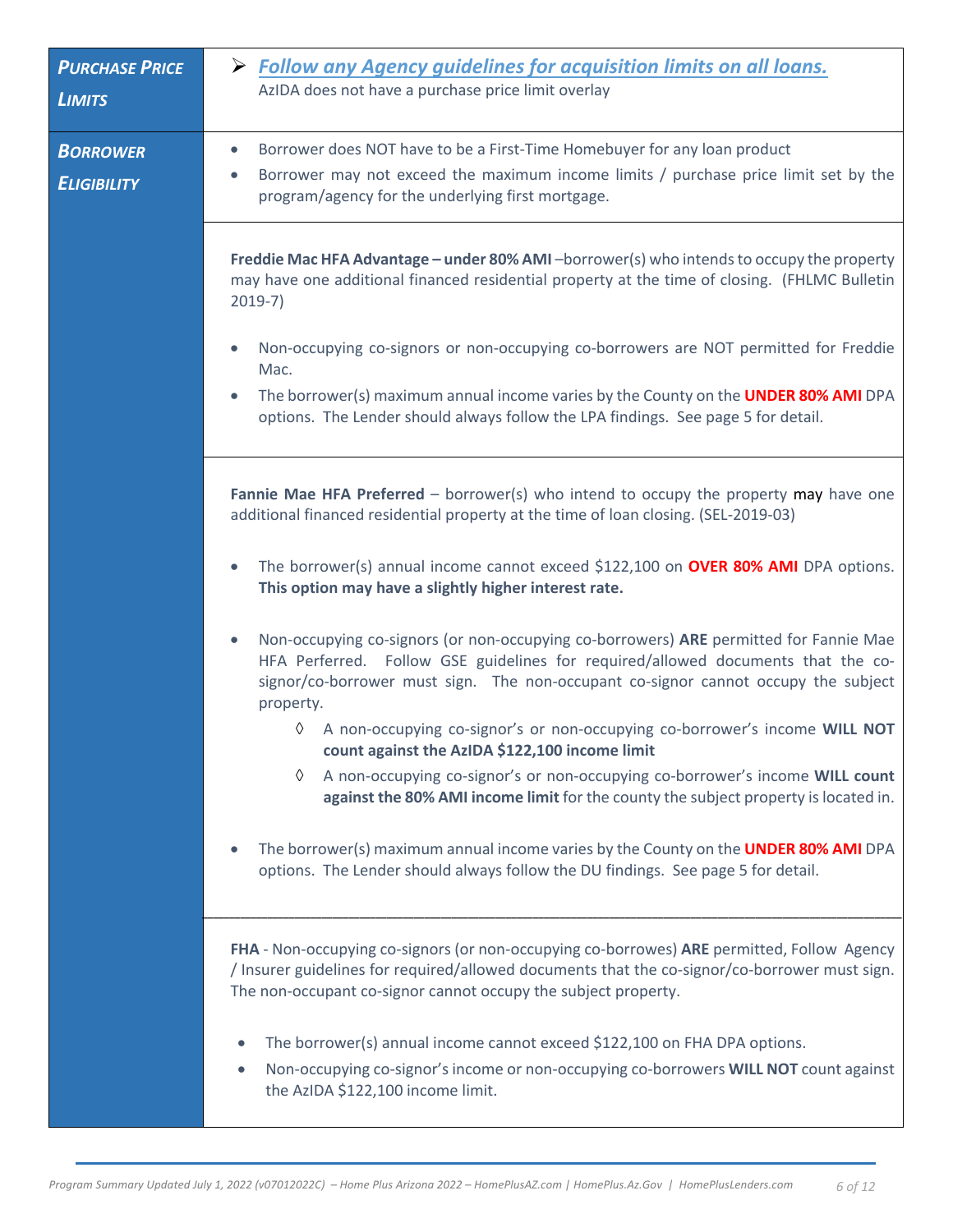| <b>PURCHASE PRICE</b><br><b>LIMITS</b> | $\triangleright$ Follow any Agency guidelines for acquisition limits on all loans.<br>AzIDA does not have a purchase price limit overlay                                                                                                                                                                                                                                                                              |
|----------------------------------------|-----------------------------------------------------------------------------------------------------------------------------------------------------------------------------------------------------------------------------------------------------------------------------------------------------------------------------------------------------------------------------------------------------------------------|
| <b>BORROWER</b><br><b>ELIGIBILITY</b>  | Borrower does NOT have to be a First-Time Homebuyer for any loan product<br>$\bullet$<br>Borrower may not exceed the maximum income limits / purchase price limit set by the<br>$\bullet$<br>program/agency for the underlying first mortgage.                                                                                                                                                                        |
|                                        | Freddie Mac HFA Advantage - under 80% AMI - borrower(s) who intends to occupy the property<br>may have one additional financed residential property at the time of closing. (FHLMC Bulletin<br>$2019-7)$                                                                                                                                                                                                              |
|                                        | Non-occupying co-signors or non-occupying co-borrowers are NOT permitted for Freddie<br>Mac.<br>The borrower(s) maximum annual income varies by the County on the UNDER 80% AMI DPA<br>options. The Lender should always follow the LPA findings. See page 5 for detail.                                                                                                                                              |
|                                        | Fannie Mae HFA Preferred - borrower(s) who intend to occupy the property may have one<br>additional financed residential property at the time of loan closing. (SEL-2019-03)<br>The borrower(s) annual income cannot exceed \$122,100 on OVER 80% AMI DPA options.                                                                                                                                                    |
|                                        | This option may have a slightly higher interest rate.<br>Non-occupying co-signors (or non-occupying co-borrowers) ARE permitted for Fannie Mae<br>HFA Perferred. Follow GSE guidelines for required/allowed documents that the co-<br>signor/co-borrower must sign. The non-occupant co-signor cannot occupy the subject<br>property.<br>♦ A non-occupying co-signor's or non-occupying co-borrower's income WILL NOT |
|                                        | count against the AzIDA \$122,100 income limit<br>♦<br>A non-occupying co-signor's or non-occupying co-borrower's income WILL count<br>against the 80% AMI income limit for the county the subject property is located in.                                                                                                                                                                                            |
|                                        | The borrower(s) maximum annual income varies by the County on the UNDER 80% AMI DPA<br>options. The Lender should always follow the DU findings. See page 5 for detail.                                                                                                                                                                                                                                               |
|                                        | FHA - Non-occupying co-signors (or non-occupying co-borrowes) ARE permitted, Follow Agency<br>/ Insurer guidelines for required/allowed documents that the co-signor/co-borrower must sign.<br>The non-occupant co-signor cannot occupy the subject property.                                                                                                                                                         |
|                                        | The borrower(s) annual income cannot exceed \$122,100 on FHA DPA options.<br>Non-occupying co-signor's income or non-occupying co-borrowers WILL NOT count against<br>$\bullet$<br>the AzIDA \$122,100 income limit.                                                                                                                                                                                                  |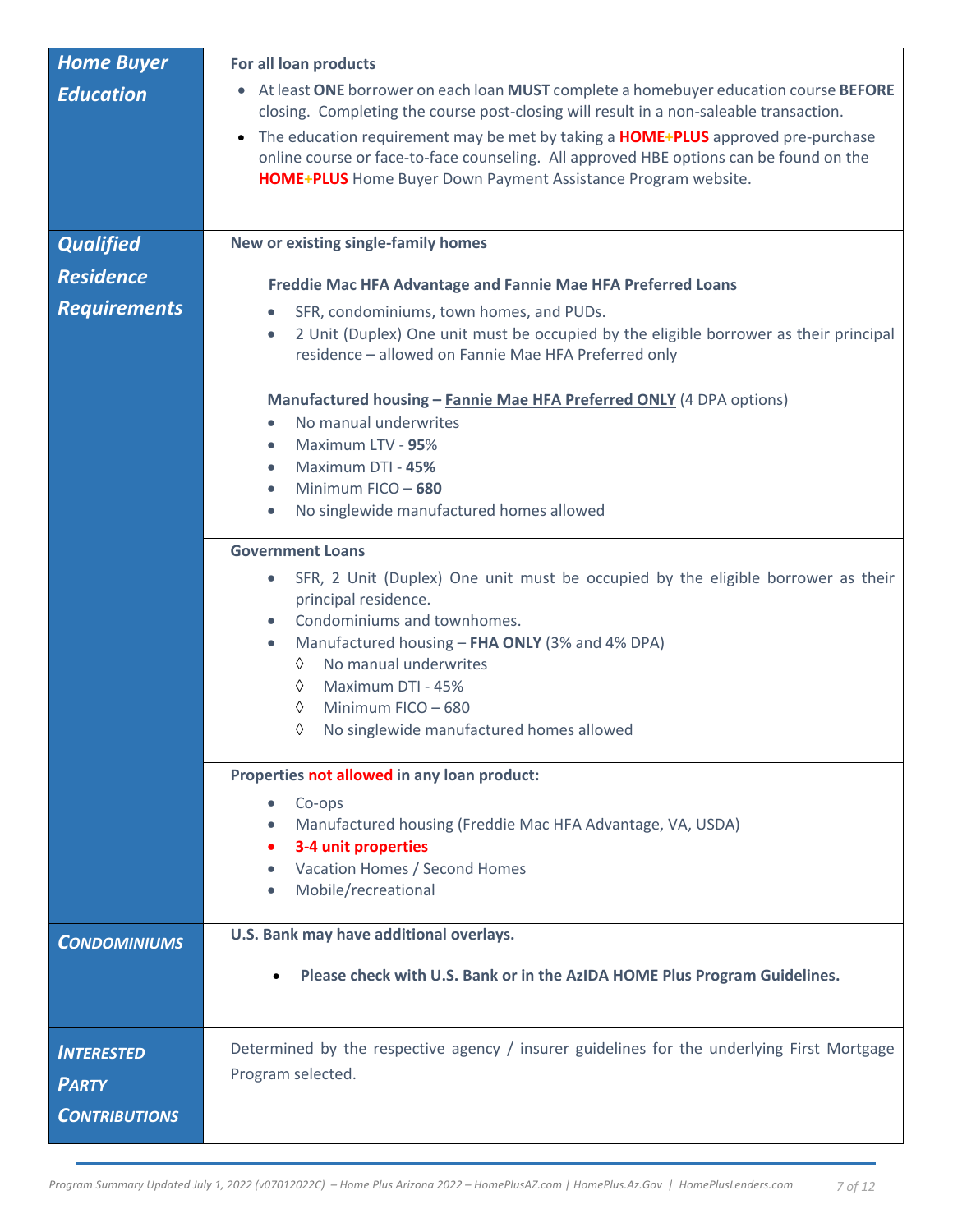| <b>Home Buyer</b>    | For all loan products                                                                                                                                                                                                                                           |
|----------------------|-----------------------------------------------------------------------------------------------------------------------------------------------------------------------------------------------------------------------------------------------------------------|
| <b>Education</b>     | • At least ONE borrower on each loan MUST complete a homebuyer education course BEFORE<br>closing. Completing the course post-closing will result in a non-saleable transaction.                                                                                |
|                      | The education requirement may be met by taking a <b>HOME+PLUS</b> approved pre-purchase<br>$\bullet$<br>online course or face-to-face counseling. All approved HBE options can be found on the<br>HOME+PLUS Home Buyer Down Payment Assistance Program website. |
| <b>Qualified</b>     | New or existing single-family homes                                                                                                                                                                                                                             |
| <b>Residence</b>     |                                                                                                                                                                                                                                                                 |
| <b>Requirements</b>  | Freddie Mac HFA Advantage and Fannie Mae HFA Preferred Loans                                                                                                                                                                                                    |
|                      | SFR, condominiums, town homes, and PUDs.<br>$\bullet$<br>2 Unit (Duplex) One unit must be occupied by the eligible borrower as their principal<br>$\bullet$<br>residence - allowed on Fannie Mae HFA Preferred only                                             |
|                      | Manufactured housing - Fannie Mae HFA Preferred ONLY (4 DPA options)                                                                                                                                                                                            |
|                      | No manual underwrites<br>$\bullet$                                                                                                                                                                                                                              |
|                      | Maximum LTV - 95%<br>$\bullet$                                                                                                                                                                                                                                  |
|                      | Maximum DTI - 45%<br>$\bullet$<br>Minimum FICO - 680<br>$\bullet$                                                                                                                                                                                               |
|                      | No singlewide manufactured homes allowed<br>$\bullet$                                                                                                                                                                                                           |
|                      | <b>Government Loans</b>                                                                                                                                                                                                                                         |
|                      | SFR, 2 Unit (Duplex) One unit must be occupied by the eligible borrower as their<br>$\bullet$                                                                                                                                                                   |
|                      | principal residence.                                                                                                                                                                                                                                            |
|                      | Condominiums and townhomes.<br>$\bullet$                                                                                                                                                                                                                        |
|                      | Manufactured housing - FHA ONLY (3% and 4% DPA)<br>$\bullet$<br>No manual underwrites<br>♦                                                                                                                                                                      |
|                      | Maximum DTI - 45%<br>♦                                                                                                                                                                                                                                          |
|                      | Minimum FICO - 680<br>♦                                                                                                                                                                                                                                         |
|                      | No singlewide manufactured homes allowed<br>♦                                                                                                                                                                                                                   |
|                      | Properties not allowed in any loan product:                                                                                                                                                                                                                     |
|                      | Co-ops<br>$\bullet$                                                                                                                                                                                                                                             |
|                      | Manufactured housing (Freddie Mac HFA Advantage, VA, USDA)<br>$\bullet$                                                                                                                                                                                         |
|                      | 3-4 unit properties<br>Vacation Homes / Second Homes                                                                                                                                                                                                            |
|                      | Mobile/recreational                                                                                                                                                                                                                                             |
|                      |                                                                                                                                                                                                                                                                 |
| <b>CONDOMINIUMS</b>  | U.S. Bank may have additional overlays.                                                                                                                                                                                                                         |
|                      | Please check with U.S. Bank or in the AzIDA HOME Plus Program Guidelines.                                                                                                                                                                                       |
|                      |                                                                                                                                                                                                                                                                 |
| <b>INTERESTED</b>    | Determined by the respective agency / insurer guidelines for the underlying First Mortgage                                                                                                                                                                      |
|                      | Program selected.                                                                                                                                                                                                                                               |
| <b>PARTY</b>         |                                                                                                                                                                                                                                                                 |
| <b>CONTRIBUTIONS</b> |                                                                                                                                                                                                                                                                 |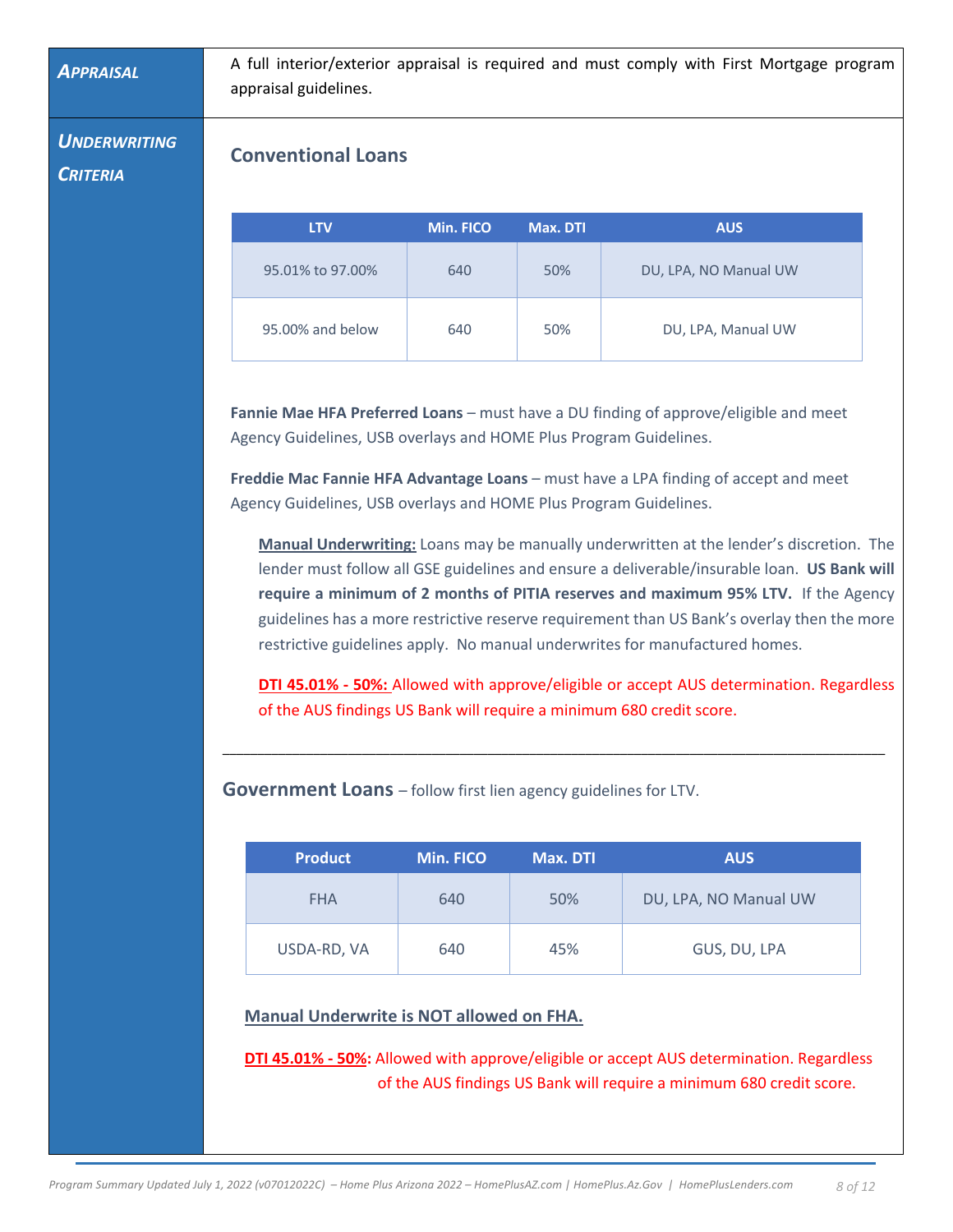*APPRAISAL* A full interior/exterior appraisal is required and must comply with First Mortgage program appraisal guidelines.

*UNDERWRITING* 

*CRITERIA*

## **Conventional Loans**

| <b>LTV</b>       | Min. FICO | Max. DTL | <b>AUS</b>            |
|------------------|-----------|----------|-----------------------|
| 95.01% to 97.00% | 640       | 50%      | DU, LPA, NO Manual UW |
| 95.00% and below | 640       | 50%      | DU, LPA, Manual UW    |

**Fannie Mae HFA Preferred Loans** – must have a DU finding of approve/eligible and meet Agency Guidelines, USB overlays and HOME Plus Program Guidelines.

**Freddie Mac Fannie HFA Advantage Loans** – must have a LPA finding of accept and meet Agency Guidelines, USB overlays and HOME Plus Program Guidelines.

**Manual Underwriting:** Loans may be manually underwritten at the lender's discretion. The lender must follow all GSE guidelines and ensure a deliverable/insurable loan. **US Bank will require a minimum of 2 months of PITIA reserves and maximum 95% LTV.** If the Agency guidelines has a more restrictive reserve requirement than US Bank's overlay then the more restrictive guidelines apply. No manual underwrites for manufactured homes.

**DTI 45.01% - 50%:** Allowed with approve/eligible or accept AUS determination. Regardless of the AUS findings US Bank will require a minimum 680 credit score.

\_\_\_\_\_\_\_\_\_\_\_\_\_\_\_\_\_\_\_\_\_\_\_\_\_\_\_\_\_\_\_\_\_\_\_\_\_\_\_\_\_\_\_\_\_\_\_\_\_\_\_\_\_\_\_\_\_\_\_\_\_\_\_\_\_\_\_\_\_\_\_\_\_\_\_\_\_\_\_\_\_\_\_\_\_\_\_\_\_\_\_\_\_\_\_

**Government Loans** – follow first lien agency guidelines for LTV.

| <b>Product</b> | Min. FICO | Max. DTI | <b>AUS</b>            |
|----------------|-----------|----------|-----------------------|
| <b>FHA</b>     | 640       | 50%      | DU, LPA, NO Manual UW |
| USDA-RD, VA    | 640       | 45%      | GUS, DU, LPA          |

**Manual Underwrite is NOT allowed on FHA.** 

**DTI 45.01% - 50%:** Allowed with approve/eligible or accept AUS determination. Regardless of the AUS findings US Bank will require a minimum 680 credit score.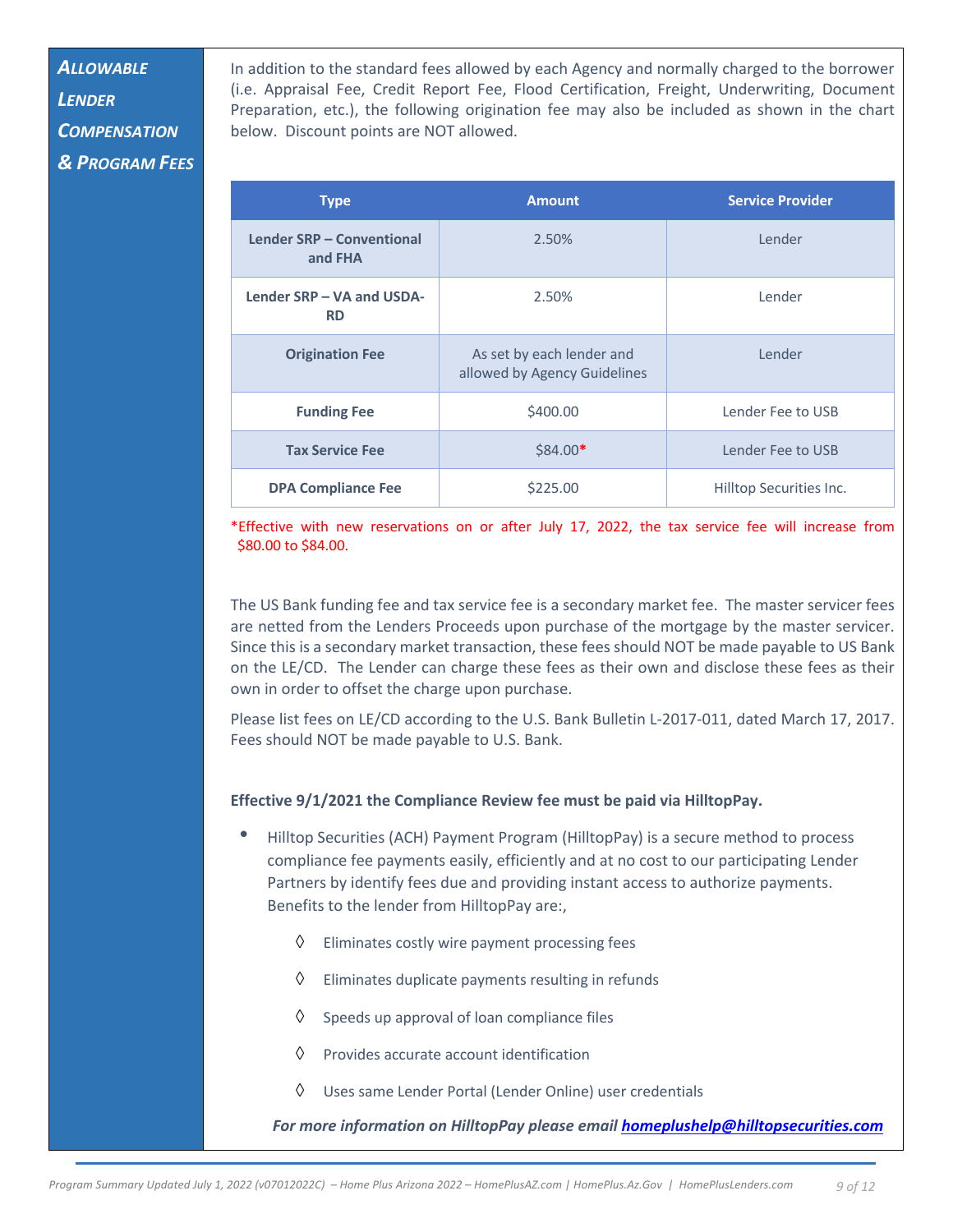# *ALLOWABLE*

*LENDER COMPENSATION & PROGRAM FEES* In addition to the standard fees allowed by each Agency and normally charged to the borrower (i.e. Appraisal Fee, Credit Report Fee, Flood Certification, Freight, Underwriting, Document Preparation, etc.), the following origination fee may also be included as shown in the chart below. Discount points are NOT allowed.

| <b>Type</b>                            | <b>Amount</b>                                             | <b>Service Provider</b> |
|----------------------------------------|-----------------------------------------------------------|-------------------------|
| Lender SRP - Conventional<br>and FHA   | 2.50%                                                     | Lender                  |
| Lender SRP - VA and USDA-<br><b>RD</b> | 2.50%                                                     | Lender                  |
| <b>Origination Fee</b>                 | As set by each lender and<br>allowed by Agency Guidelines | Lender                  |
| <b>Funding Fee</b>                     | \$400.00                                                  | Lender Fee to USB       |
| <b>Tax Service Fee</b>                 | $$84.00*$                                                 | Lender Fee to USB       |
| <b>DPA Compliance Fee</b>              | \$225.00                                                  | Hilltop Securities Inc. |

\*Effective with new reservations on or after July 17, 2022, the tax service fee will increase from \$80.00 to \$84.00.

The US Bank funding fee and tax service fee is a secondary market fee. The master servicer fees are netted from the Lenders Proceeds upon purchase of the mortgage by the master servicer. Since this is a secondary market transaction, these fees should NOT be made payable to US Bank on the LE/CD. The Lender can charge these fees as their own and disclose these fees as their own in order to offset the charge upon purchase.

Please list fees on LE/CD according to the U.S. Bank Bulletin L-2017-011, dated March 17, 2017. Fees should NOT be made payable to U.S. Bank.

#### **Effective 9/1/2021 the Compliance Review fee must be paid via HilltopPay.**

- Hilltop Securities (ACH) Payment Program (HilltopPay) is a secure method to process compliance fee payments easily, efficiently and at no cost to our participating Lender Partners by identify fees due and providing instant access to authorize payments. Benefits to the lender from HilltopPay are:,
	- $\Diamond$  Eliminates costly wire payment processing fees
	- $\Diamond$  Eliminates duplicate payments resulting in refunds
	- $\Diamond$  Speeds up approval of loan compliance files
	- $\Diamond$  Provides accurate account identification
	- $\Diamond$  Uses same Lender Portal (Lender Online) user credentials

*For more information on HilltopPay please email homeplushelp@hilltopsecurities.com*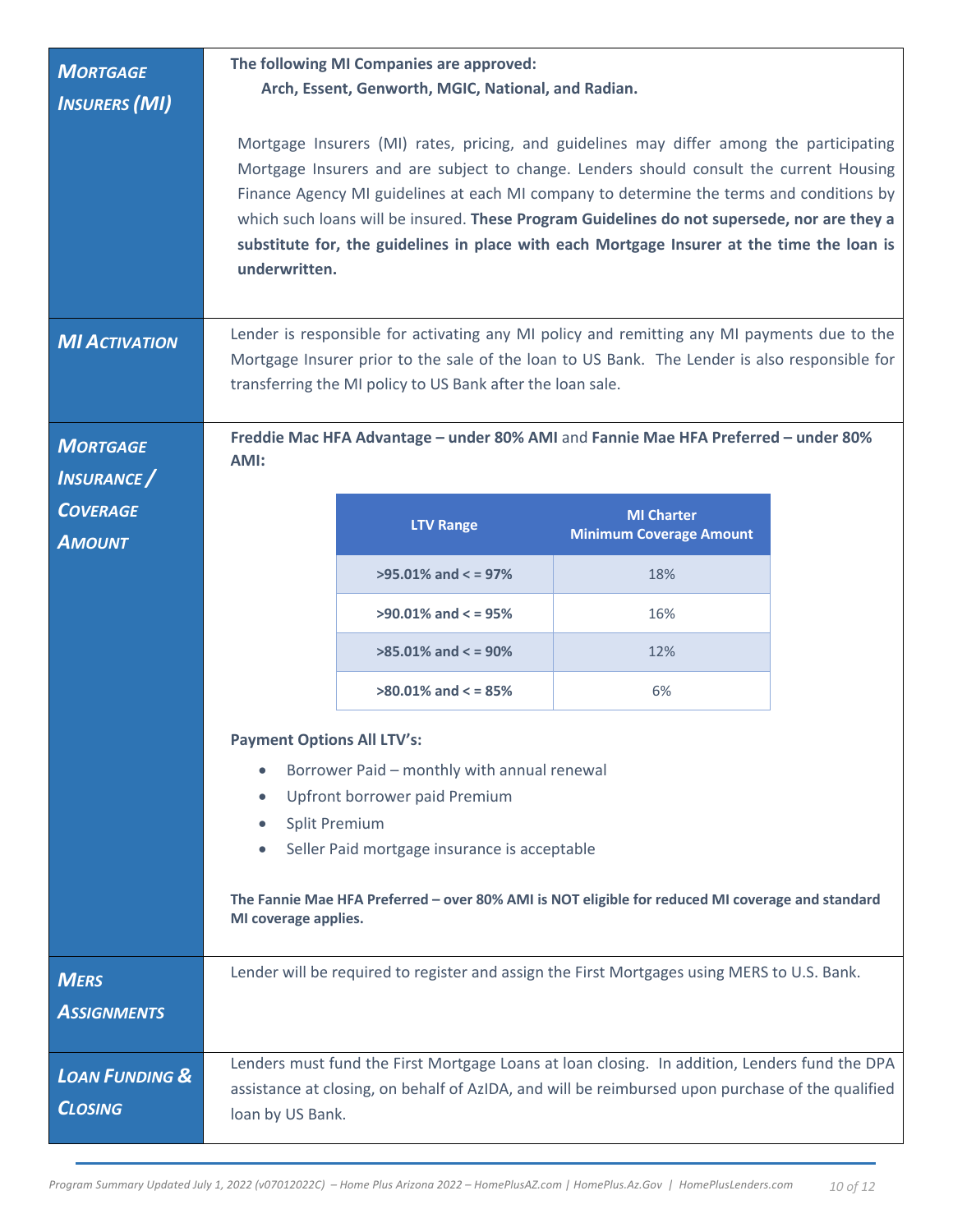| <b>MORTGAGE</b><br><b>INSURERS (MI)</b>     |                                                                                                                                                                                                                                                                                                                                    | The following MI Companies are approved:<br>Arch, Essent, Genworth, MGIC, National, and Radian. | Mortgage Insurers (MI) rates, pricing, and guidelines may differ among the participating                                                                                                                                                                                                                                                                                         |  |
|---------------------------------------------|------------------------------------------------------------------------------------------------------------------------------------------------------------------------------------------------------------------------------------------------------------------------------------------------------------------------------------|-------------------------------------------------------------------------------------------------|----------------------------------------------------------------------------------------------------------------------------------------------------------------------------------------------------------------------------------------------------------------------------------------------------------------------------------------------------------------------------------|--|
|                                             | underwritten.                                                                                                                                                                                                                                                                                                                      |                                                                                                 | Mortgage Insurers and are subject to change. Lenders should consult the current Housing<br>Finance Agency MI guidelines at each MI company to determine the terms and conditions by<br>which such loans will be insured. These Program Guidelines do not supersede, nor are they a<br>substitute for, the guidelines in place with each Mortgage Insurer at the time the loan is |  |
| <b>MI ACTIVATION</b>                        |                                                                                                                                                                                                                                                                                                                                    | transferring the MI policy to US Bank after the loan sale.                                      | Lender is responsible for activating any MI policy and remitting any MI payments due to the<br>Mortgage Insurer prior to the sale of the loan to US Bank. The Lender is also responsible for                                                                                                                                                                                     |  |
| <b>MORTGAGE</b><br><b>INSURANCE</b>         | AMI:                                                                                                                                                                                                                                                                                                                               |                                                                                                 | Freddie Mac HFA Advantage - under 80% AMI and Fannie Mae HFA Preferred - under 80%                                                                                                                                                                                                                                                                                               |  |
| <b>COVERAGE</b><br><b>AMOUNT</b>            |                                                                                                                                                                                                                                                                                                                                    | <b>LTV Range</b>                                                                                | <b>MI Charter</b><br><b>Minimum Coverage Amount</b>                                                                                                                                                                                                                                                                                                                              |  |
|                                             |                                                                                                                                                                                                                                                                                                                                    | $>95.01\%$ and $<$ = 97%                                                                        | 18%                                                                                                                                                                                                                                                                                                                                                                              |  |
|                                             |                                                                                                                                                                                                                                                                                                                                    | $>90.01\%$ and $<$ = 95%                                                                        | 16%                                                                                                                                                                                                                                                                                                                                                                              |  |
|                                             |                                                                                                                                                                                                                                                                                                                                    | $>85.01\%$ and $<$ = 90%<br>12%                                                                 |                                                                                                                                                                                                                                                                                                                                                                                  |  |
|                                             | $>80.01\%$ and $<=85\%$<br>6%                                                                                                                                                                                                                                                                                                      |                                                                                                 |                                                                                                                                                                                                                                                                                                                                                                                  |  |
|                                             | <b>Payment Options All LTV's:</b><br>Borrower Paid - monthly with annual renewal<br>$\bullet$<br>Upfront borrower paid Premium<br><b>Split Premium</b><br>Seller Paid mortgage insurance is acceptable<br>The Fannie Mae HFA Preferred - over 80% AMI is NOT eligible for reduced MI coverage and standard<br>MI coverage applies. |                                                                                                 |                                                                                                                                                                                                                                                                                                                                                                                  |  |
| <b>MERS</b><br><b>ASSIGNMENTS</b>           |                                                                                                                                                                                                                                                                                                                                    |                                                                                                 | Lender will be required to register and assign the First Mortgages using MERS to U.S. Bank.                                                                                                                                                                                                                                                                                      |  |
| <b>LOAN FUNDING &amp;</b><br><b>CLOSING</b> | loan by US Bank.                                                                                                                                                                                                                                                                                                                   |                                                                                                 | Lenders must fund the First Mortgage Loans at loan closing. In addition, Lenders fund the DPA<br>assistance at closing, on behalf of AzIDA, and will be reimbursed upon purchase of the qualified                                                                                                                                                                                |  |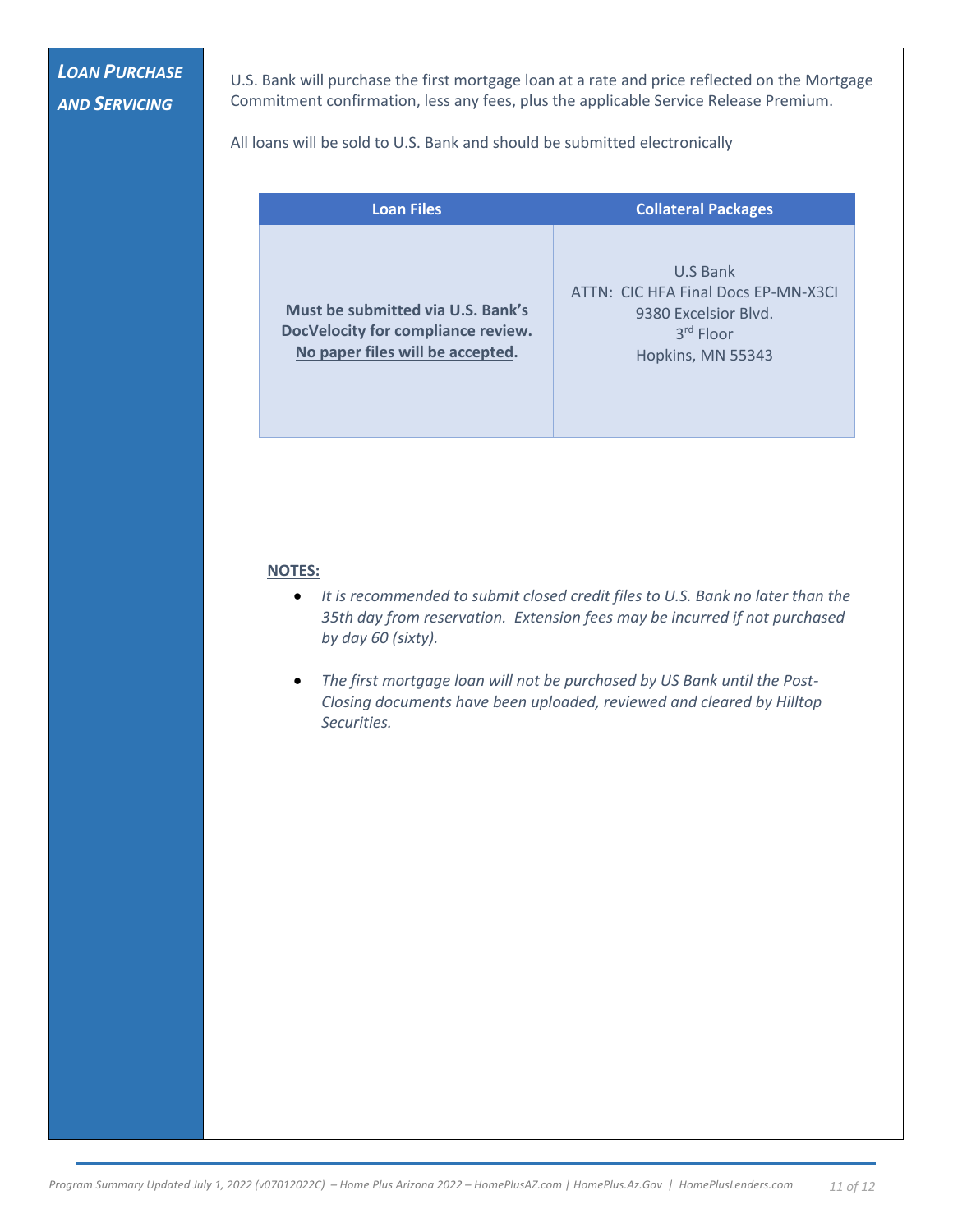# *LOAN PURCHASE AND SERVICING*

U.S. Bank will purchase the first mortgage loan at a rate and price reflected on the Mortgage Commitment confirmation, less any fees, plus the applicable Service Release Premium.

All loans will be sold to U.S. Bank and should be submitted electronically

| <b>Loan Files</b>                                                                                           | <b>Collateral Packages</b>                                                                                |
|-------------------------------------------------------------------------------------------------------------|-----------------------------------------------------------------------------------------------------------|
| Must be submitted via U.S. Bank's<br>DocVelocity for compliance review.<br>No paper files will be accepted. | U.S Bank<br>ATTN: CIC HFA Final Docs EP-MN-X3CI<br>9380 Excelsior Blvd.<br>3rd Floor<br>Hopkins, MN 55343 |

#### **NOTES:**

- *It is recommended to submit closed credit files to U.S. Bank no later than the 35th day from reservation. Extension fees may be incurred if not purchased by day 60 (sixty).*
- *The first mortgage loan will not be purchased by US Bank until the Post-Closing documents have been uploaded, reviewed and cleared by Hilltop Securities.*